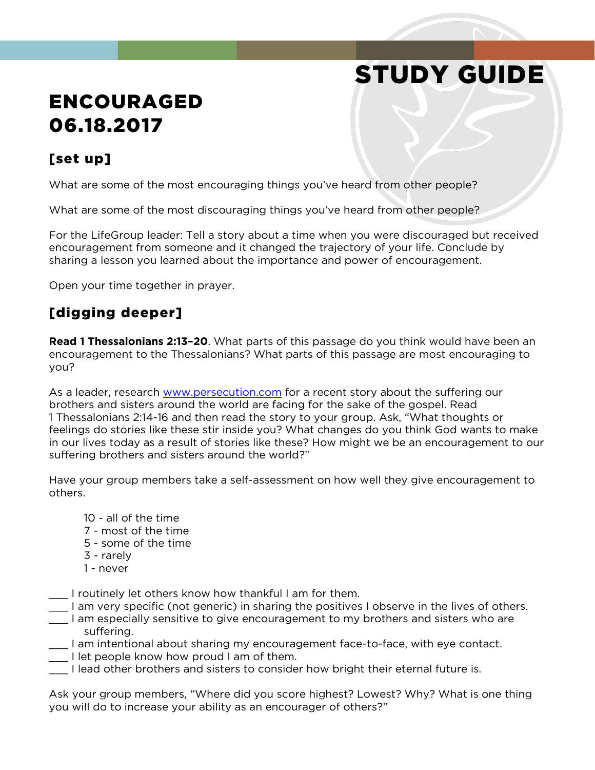# STUDY GUIDE

## ENCOURAGED 06.18.2017

### [set up]

What are some of the most encouraging things you've heard from other people?

What are some of the most discouraging things you've heard from other people?

For the LifeGroup leader: Tell a story about a time when you were discouraged but received encouragement from someone and it changed the trajectory of your life. Conclude by sharing a lesson you learned about the importance and power of encouragement.

Open your time together in prayer.

### [digging deeper]

**Read 1 Thessalonians 2:13–20**. What parts of this passage do you think would have been an encouragement to the Thessalonians? What parts of this passage are most encouraging to you?

As a leader, research [www.persecution.com](http://www.persecution.com/) for a recent story about the suffering our brothers and sisters around the world are facing for the sake of the gospel. Read 1 Thessalonians 2:14-16 and then read the story to your group. Ask, "What thoughts or feelings do stories like these stir inside you? What changes do you think God wants to make in our lives today as a result of stories like these? How might we be an encouragement to our suffering brothers and sisters around the world?"

Have your group members take a self-assessment on how well they give encouragement to others.

- 10 all of the time
- 7 most of the time
- 5 some of the time
- 3 rarely
- 1 never
- \_\_\_ I routinely let others know how thankful I am for them.
- \_\_\_ I am very specific (not generic) in sharing the positives I observe in the lives of others.
- \_\_\_ I am especially sensitive to give encouragement to my brothers and sisters who are suffering.
- \_\_\_ I am intentional about sharing my encouragement face-to-face, with eye contact.
- \_\_\_ I let people know how proud I am of them.
- \_\_\_ I lead other brothers and sisters to consider how bright their eternal future is.

Ask your group members, "Where did you score highest? Lowest? Why? What is one thing you will do to increase your ability as an encourager of others?"